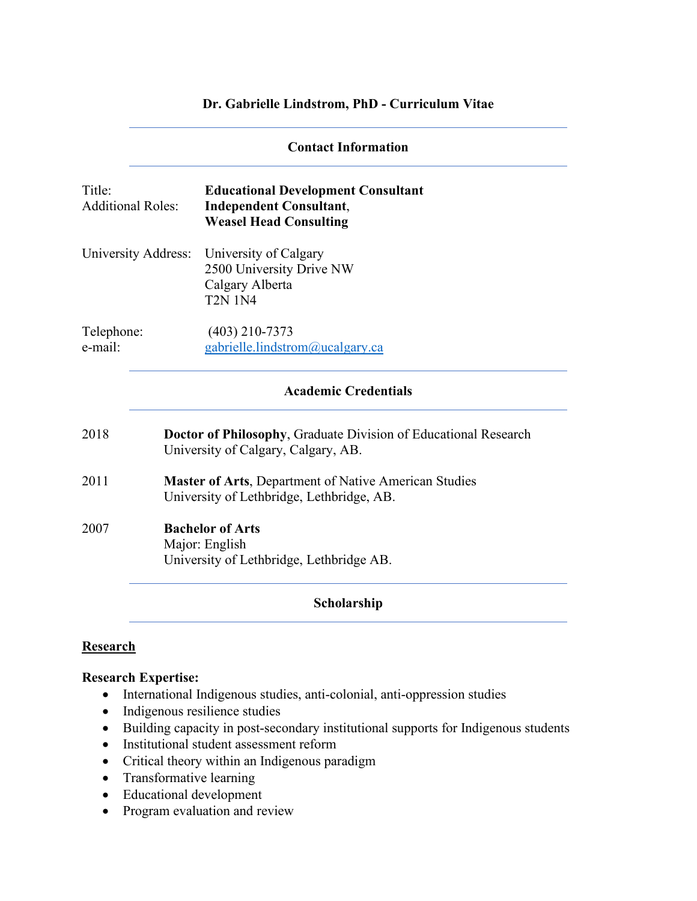#### **Dr. Gabrielle Lindstrom, PhD - Curriculum Vitae**

|                                    | <b>Contact Information</b>                                                                                    |                                                                                                              |  |
|------------------------------------|---------------------------------------------------------------------------------------------------------------|--------------------------------------------------------------------------------------------------------------|--|
| Title:<br><b>Additional Roles:</b> |                                                                                                               | <b>Educational Development Consultant</b><br><b>Independent Consultant,</b><br><b>Weasel Head Consulting</b> |  |
| University Address:                |                                                                                                               | University of Calgary<br>2500 University Drive NW<br>Calgary Alberta<br><b>T2N 1N4</b>                       |  |
| Telephone:<br>e-mail:              |                                                                                                               | $(403)$ 210-7373<br>gabrielle.lindstrom@ucalgary.ca                                                          |  |
|                                    |                                                                                                               | <b>Academic Credentials</b>                                                                                  |  |
| 2018                               | <b>Doctor of Philosophy, Graduate Division of Educational Research</b><br>University of Calgary, Calgary, AB. |                                                                                                              |  |
| 2011                               | Master of Arts, Department of Native American Studies<br>University of Lethbridge, Lethbridge, AB.            |                                                                                                              |  |
| 2007                               |                                                                                                               | <b>Bachelor of Arts</b><br>Major: English<br>University of Lethbridge, Lethbridge AB.                        |  |
|                                    |                                                                                                               | Scholarship                                                                                                  |  |

# **Research**

# **Research Expertise:**

- International Indigenous studies, anti-colonial, anti-oppression studies
- Indigenous resilience studies
- Building capacity in post-secondary institutional supports for Indigenous students
- Institutional student assessment reform
- Critical theory within an Indigenous paradigm
- Transformative learning
- Educational development
- Program evaluation and review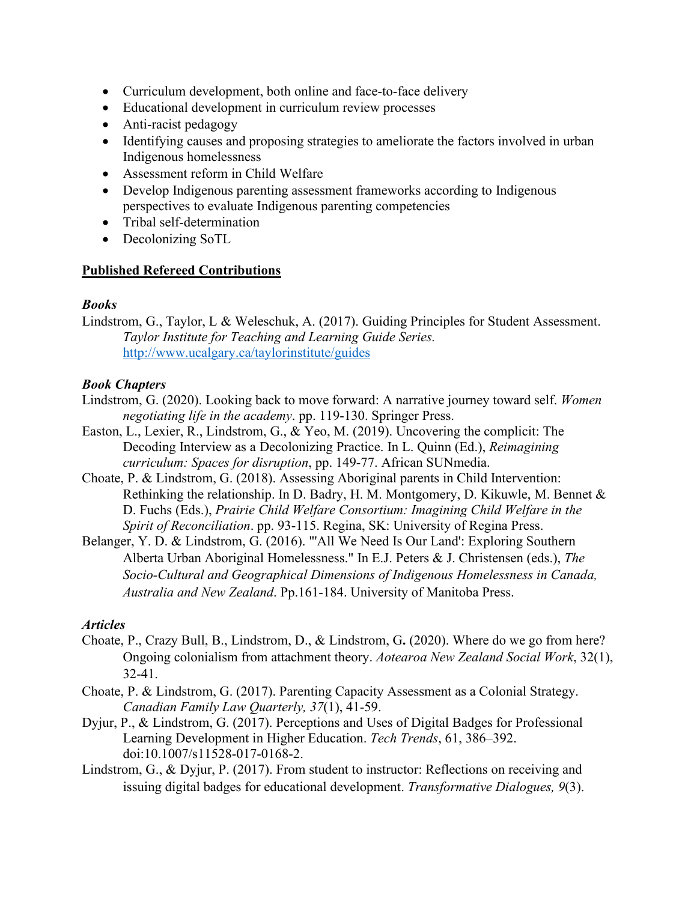- Curriculum development, both online and face-to-face delivery
- Educational development in curriculum review processes
- Anti-racist pedagogy
- Identifying causes and proposing strategies to ameliorate the factors involved in urban Indigenous homelessness
- Assessment reform in Child Welfare
- Develop Indigenous parenting assessment frameworks according to Indigenous perspectives to evaluate Indigenous parenting competencies
- Tribal self-determination
- Decolonizing SoTL

#### **Published Refereed Contributions**

#### *Books*

Lindstrom, G., Taylor, L & Weleschuk, A. (2017). Guiding Principles for Student Assessment. *Taylor Institute for Teaching and Learning Guide Series.* http://www.ucalgary.ca/taylorinstitute/guides

#### *Book Chapters*

- Lindstrom, G. (2020). Looking back to move forward: A narrative journey toward self. *Women negotiating life in the academy*. pp. 119-130. Springer Press.
- Easton, L., Lexier, R., Lindstrom, G., & Yeo, M. (2019). Uncovering the complicit: The Decoding Interview as a Decolonizing Practice. In L. Quinn (Ed.), *Reimagining curriculum: Spaces for disruption*, pp. 149-77. African SUNmedia.
- Choate, P. & Lindstrom, G. (2018). Assessing Aboriginal parents in Child Intervention: Rethinking the relationship. In D. Badry, H. M. Montgomery, D. Kikuwle, M. Bennet & D. Fuchs (Eds.), *Prairie Child Welfare Consortium: Imagining Child Welfare in the Spirit of Reconciliation*. pp. 93-115. Regina, SK: University of Regina Press.
- Belanger, Y. D. & Lindstrom, G. (2016). "'All We Need Is Our Land': Exploring Southern Alberta Urban Aboriginal Homelessness." In E.J. Peters & J. Christensen (eds.), *The Socio-Cultural and Geographical Dimensions of Indigenous Homelessness in Canada, Australia and New Zealand*. Pp.161-184. University of Manitoba Press.

#### *Articles*

- Choate, P., Crazy Bull, B., Lindstrom, D., & Lindstrom, G**.** (2020). Where do we go from here? Ongoing colonialism from attachment theory. *Aotearoa New Zealand Social Work*, 32(1), 32-41.
- Choate, P. & Lindstrom, G. (2017). Parenting Capacity Assessment as a Colonial Strategy. *Canadian Family Law Quarterly, 37*(1), 41-59.
- Dyjur, P., & Lindstrom, G. (2017). Perceptions and Uses of Digital Badges for Professional Learning Development in Higher Education. *Tech Trends*, 61, 386–392. doi:10.1007/s11528-017-0168-2.
- Lindstrom, G., & Dyjur, P. (2017). From student to instructor: Reflections on receiving and issuing digital badges for educational development. *Transformative Dialogues, 9*(3).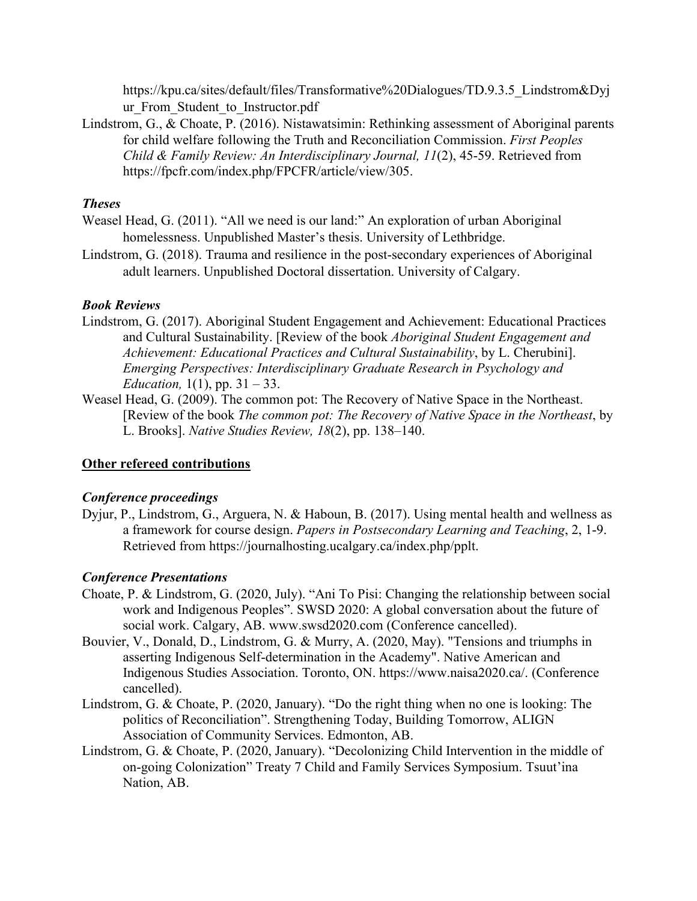https://kpu.ca/sites/default/files/Transformative%20Dialogues/TD.9.3.5\_Lindstrom&Dyj ur From Student to Instructor.pdf

Lindstrom, G., & Choate, P. (2016). Nistawatsimin: Rethinking assessment of Aboriginal parents for child welfare following the Truth and Reconciliation Commission. *First Peoples Child & Family Review: An Interdisciplinary Journal, 11*(2), 45-59. Retrieved from https://fpcfr.com/index.php/FPCFR/article/view/305.

# *Theses*

- Weasel Head, G. (2011). "All we need is our land:" An exploration of urban Aboriginal homelessness. Unpublished Master's thesis. University of Lethbridge.
- Lindstrom, G. (2018). Trauma and resilience in the post-secondary experiences of Aboriginal adult learners. Unpublished Doctoral dissertation. University of Calgary.

#### *Book Reviews*

- Lindstrom, G. (2017). Aboriginal Student Engagement and Achievement: Educational Practices and Cultural Sustainability. [Review of the book *Aboriginal Student Engagement and Achievement: Educational Practices and Cultural Sustainability*, by L. Cherubini]. *Emerging Perspectives: Interdisciplinary Graduate Research in Psychology and Education,* 1(1), pp. 31 – 33.
- Weasel Head, G. (2009). The common pot: The Recovery of Native Space in the Northeast. [Review of the book *The common pot: The Recovery of Native Space in the Northeast*, by L. Brooks]. *Native Studies Review, 18*(2), pp. 138–140.

# **Other refereed contributions**

# *Conference proceedings*

Dyjur, P., Lindstrom, G., Arguera, N. & Haboun, B. (2017). Using mental health and wellness as a framework for course design. *Papers in Postsecondary Learning and Teaching*, 2, 1-9. Retrieved from https://journalhosting.ucalgary.ca/index.php/pplt.

# *Conference Presentations*

- Choate, P. & Lindstrom, G. (2020, July). "Ani To Pisi: Changing the relationship between social work and Indigenous Peoples". SWSD 2020: A global conversation about the future of social work. Calgary, AB. www.swsd2020.com (Conference cancelled).
- Bouvier, V., Donald, D., Lindstrom, G. & Murry, A. (2020, May). "Tensions and triumphs in asserting Indigenous Self-determination in the Academy". Native American and Indigenous Studies Association. Toronto, ON. https://www.naisa2020.ca/. (Conference cancelled).
- Lindstrom, G. & Choate, P. (2020, January). "Do the right thing when no one is looking: The politics of Reconciliation". Strengthening Today, Building Tomorrow, ALIGN Association of Community Services. Edmonton, AB.
- Lindstrom, G. & Choate, P. (2020, January). "Decolonizing Child Intervention in the middle of on-going Colonization" Treaty 7 Child and Family Services Symposium. Tsuut'ina Nation, AB.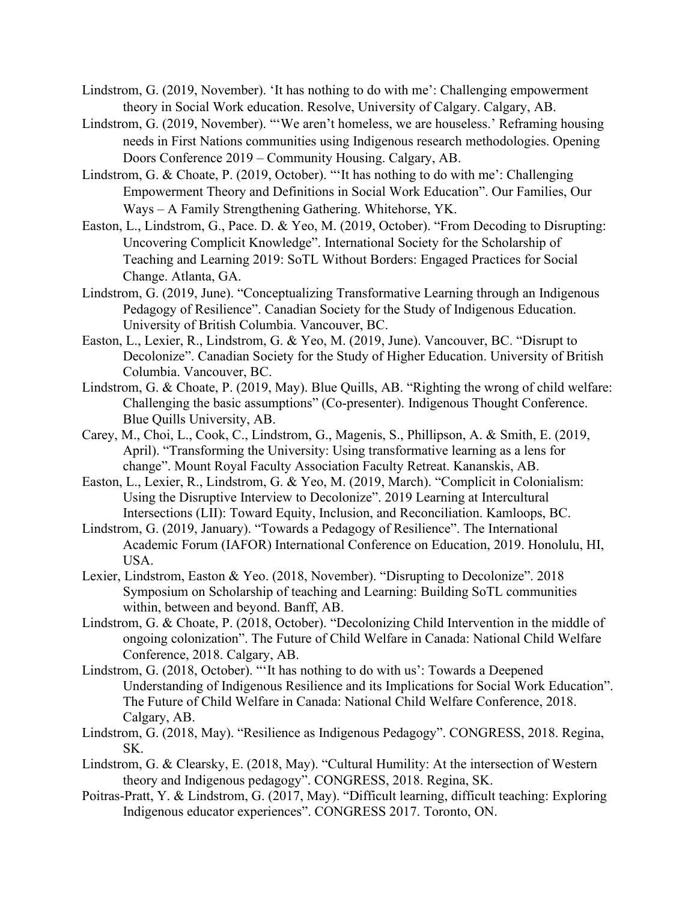- Lindstrom, G. (2019, November). 'It has nothing to do with me': Challenging empowerment theory in Social Work education. Resolve, University of Calgary. Calgary, AB.
- Lindstrom, G. (2019, November). "'We aren't homeless, we are houseless.' Reframing housing needs in First Nations communities using Indigenous research methodologies. Opening Doors Conference 2019 – Community Housing. Calgary, AB.
- Lindstrom, G. & Choate, P. (2019, October). "'It has nothing to do with me': Challenging Empowerment Theory and Definitions in Social Work Education". Our Families, Our Ways – A Family Strengthening Gathering. Whitehorse, YK.
- Easton, L., Lindstrom, G., Pace. D. & Yeo, M. (2019, October). "From Decoding to Disrupting: Uncovering Complicit Knowledge". International Society for the Scholarship of Teaching and Learning 2019: SoTL Without Borders: Engaged Practices for Social Change. Atlanta, GA.
- Lindstrom, G. (2019, June). "Conceptualizing Transformative Learning through an Indigenous Pedagogy of Resilience". Canadian Society for the Study of Indigenous Education. University of British Columbia. Vancouver, BC.
- Easton, L., Lexier, R., Lindstrom, G. & Yeo, M. (2019, June). Vancouver, BC. "Disrupt to Decolonize". Canadian Society for the Study of Higher Education. University of British Columbia. Vancouver, BC.
- Lindstrom, G. & Choate, P. (2019, May). Blue Quills, AB. "Righting the wrong of child welfare: Challenging the basic assumptions" (Co-presenter). Indigenous Thought Conference. Blue Quills University, AB.
- Carey, M., Choi, L., Cook, C., Lindstrom, G., Magenis, S., Phillipson, A. & Smith, E. (2019, April). "Transforming the University: Using transformative learning as a lens for change". Mount Royal Faculty Association Faculty Retreat. Kananskis, AB.
- Easton, L., Lexier, R., Lindstrom, G. & Yeo, M. (2019, March). "Complicit in Colonialism: Using the Disruptive Interview to Decolonize". 2019 Learning at Intercultural Intersections (LII): Toward Equity, Inclusion, and Reconciliation. Kamloops, BC.
- Lindstrom, G. (2019, January). "Towards a Pedagogy of Resilience". The International Academic Forum (IAFOR) International Conference on Education, 2019. Honolulu, HI, USA.
- Lexier, Lindstrom, Easton & Yeo. (2018, November). "Disrupting to Decolonize". 2018 Symposium on Scholarship of teaching and Learning: Building SoTL communities within, between and beyond. Banff, AB.
- Lindstrom, G. & Choate, P. (2018, October). "Decolonizing Child Intervention in the middle of ongoing colonization". The Future of Child Welfare in Canada: National Child Welfare Conference, 2018. Calgary, AB.
- Lindstrom, G. (2018, October). "'It has nothing to do with us': Towards a Deepened Understanding of Indigenous Resilience and its Implications for Social Work Education". The Future of Child Welfare in Canada: National Child Welfare Conference, 2018. Calgary, AB.
- Lindstrom, G. (2018, May). "Resilience as Indigenous Pedagogy". CONGRESS, 2018. Regina, SK.
- Lindstrom, G. & Clearsky, E. (2018, May). "Cultural Humility: At the intersection of Western theory and Indigenous pedagogy". CONGRESS, 2018. Regina, SK.
- Poitras-Pratt, Y. & Lindstrom, G. (2017, May). "Difficult learning, difficult teaching: Exploring Indigenous educator experiences". CONGRESS 2017. Toronto, ON.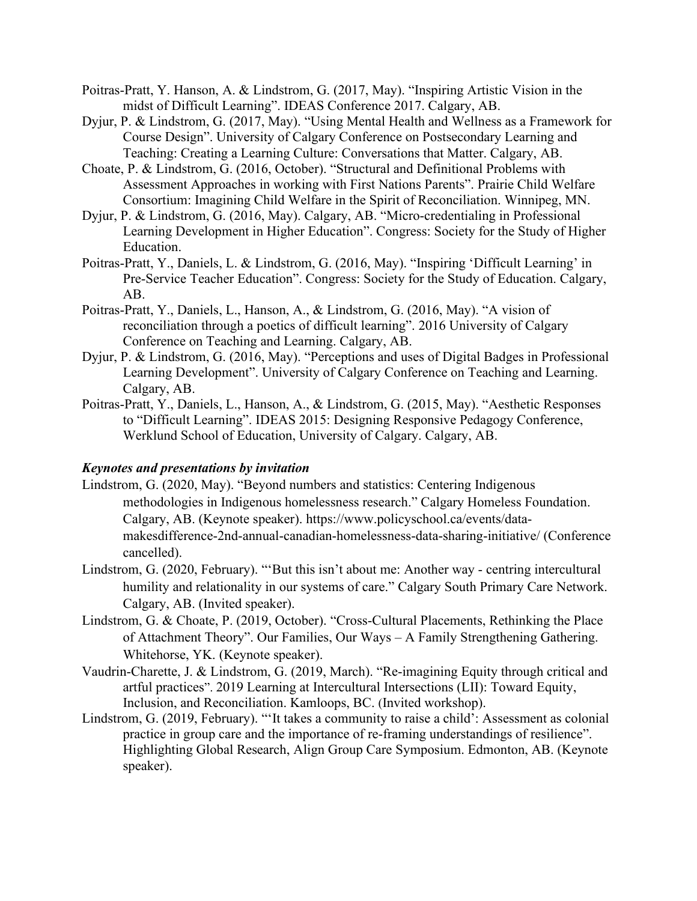- Poitras-Pratt, Y. Hanson, A. & Lindstrom, G. (2017, May). "Inspiring Artistic Vision in the midst of Difficult Learning". IDEAS Conference 2017. Calgary, AB.
- Dyjur, P. & Lindstrom, G. (2017, May). "Using Mental Health and Wellness as a Framework for Course Design". University of Calgary Conference on Postsecondary Learning and Teaching: Creating a Learning Culture: Conversations that Matter. Calgary, AB.
- Choate, P. & Lindstrom, G. (2016, October). "Structural and Definitional Problems with Assessment Approaches in working with First Nations Parents". Prairie Child Welfare Consortium: Imagining Child Welfare in the Spirit of Reconciliation. Winnipeg, MN.
- Dyjur, P. & Lindstrom, G. (2016, May). Calgary, AB. "Micro-credentialing in Professional Learning Development in Higher Education". Congress: Society for the Study of Higher Education.
- Poitras-Pratt, Y., Daniels, L. & Lindstrom, G. (2016, May). "Inspiring 'Difficult Learning' in Pre-Service Teacher Education". Congress: Society for the Study of Education. Calgary, AB.
- Poitras-Pratt, Y., Daniels, L., Hanson, A., & Lindstrom, G. (2016, May). "A vision of reconciliation through a poetics of difficult learning". 2016 University of Calgary Conference on Teaching and Learning. Calgary, AB.
- Dyjur, P. & Lindstrom, G. (2016, May). "Perceptions and uses of Digital Badges in Professional Learning Development". University of Calgary Conference on Teaching and Learning. Calgary, AB.
- Poitras-Pratt, Y., Daniels, L., Hanson, A., & Lindstrom, G. (2015, May). "Aesthetic Responses to "Difficult Learning". IDEAS 2015: Designing Responsive Pedagogy Conference, Werklund School of Education, University of Calgary. Calgary, AB.

#### *Keynotes and presentations by invitation*

- Lindstrom, G. (2020, May). "Beyond numbers and statistics: Centering Indigenous methodologies in Indigenous homelessness research." Calgary Homeless Foundation. Calgary, AB. (Keynote speaker). https://www.policyschool.ca/events/datamakesdifference-2nd-annual-canadian-homelessness-data-sharing-initiative/ (Conference cancelled).
- Lindstrom, G. (2020, February). "'But this isn't about me: Another way centring intercultural humility and relationality in our systems of care." Calgary South Primary Care Network. Calgary, AB. (Invited speaker).
- Lindstrom, G. & Choate, P. (2019, October). "Cross-Cultural Placements, Rethinking the Place of Attachment Theory". Our Families, Our Ways – A Family Strengthening Gathering. Whitehorse, YK. (Keynote speaker).
- Vaudrin-Charette, J. & Lindstrom, G. (2019, March). "Re-imagining Equity through critical and artful practices". 2019 Learning at Intercultural Intersections (LII): Toward Equity, Inclusion, and Reconciliation. Kamloops, BC. (Invited workshop).
- Lindstrom, G. (2019, February). "'It takes a community to raise a child': Assessment as colonial practice in group care and the importance of re-framing understandings of resilience". Highlighting Global Research, Align Group Care Symposium. Edmonton, AB. (Keynote speaker).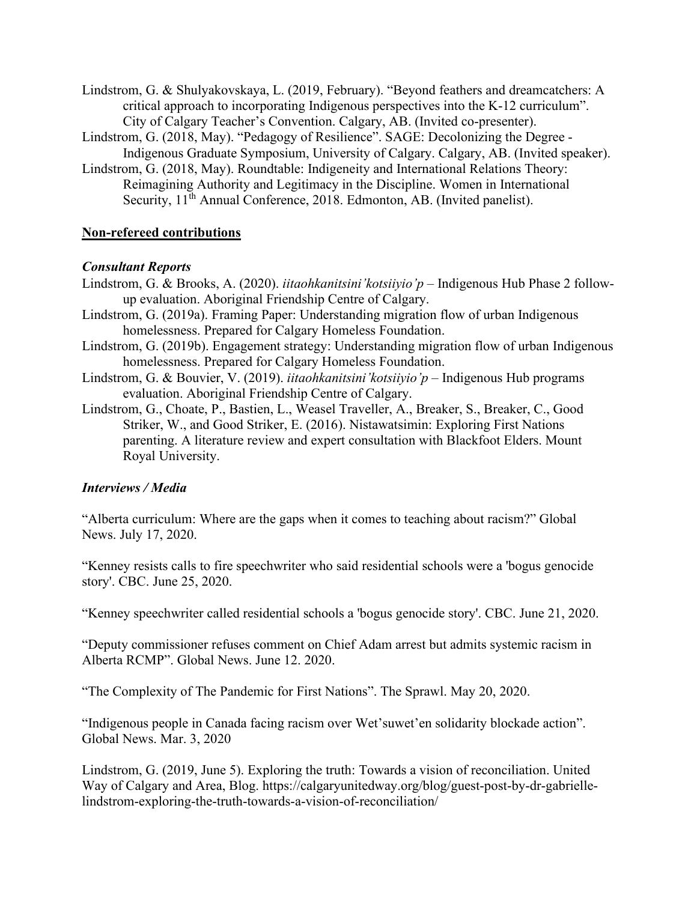- Lindstrom, G. & Shulyakovskaya, L. (2019, February). "Beyond feathers and dreamcatchers: A critical approach to incorporating Indigenous perspectives into the K-12 curriculum". City of Calgary Teacher's Convention. Calgary, AB. (Invited co-presenter).
- Lindstrom, G. (2018, May). "Pedagogy of Resilience". SAGE: Decolonizing the Degree Indigenous Graduate Symposium, University of Calgary. Calgary, AB. (Invited speaker).
- Lindstrom, G. (2018, May). Roundtable: Indigeneity and International Relations Theory: Reimagining Authority and Legitimacy in the Discipline. Women in International Security, 11<sup>th</sup> Annual Conference, 2018. Edmonton, AB. (Invited panelist).

#### **Non-refereed contributions**

#### *Consultant Reports*

- Lindstrom, G. & Brooks, A. (2020). *iitaohkanitsini'kotsiiyio'p* Indigenous Hub Phase 2 followup evaluation. Aboriginal Friendship Centre of Calgary.
- Lindstrom, G. (2019a). Framing Paper: Understanding migration flow of urban Indigenous homelessness. Prepared for Calgary Homeless Foundation.
- Lindstrom, G. (2019b). Engagement strategy: Understanding migration flow of urban Indigenous homelessness. Prepared for Calgary Homeless Foundation.
- Lindstrom, G. & Bouvier, V. (2019). *iitaohkanitsini'kotsiiyio'p* Indigenous Hub programs evaluation. Aboriginal Friendship Centre of Calgary.
- Lindstrom, G., Choate, P., Bastien, L., Weasel Traveller, A., Breaker, S., Breaker, C., Good Striker, W., and Good Striker, E. (2016). Nistawatsimin: Exploring First Nations parenting. A literature review and expert consultation with Blackfoot Elders. Mount Royal University.

#### *Interviews / Media*

"Alberta curriculum: Where are the gaps when it comes to teaching about racism?" Global News. July 17, 2020.

"Kenney resists calls to fire speechwriter who said residential schools were a 'bogus genocide story'. CBC. June 25, 2020.

"Kenney speechwriter called residential schools a 'bogus genocide story'. CBC. June 21, 2020.

"Deputy commissioner refuses comment on Chief Adam arrest but admits systemic racism in Alberta RCMP". Global News. June 12. 2020.

"The Complexity of The Pandemic for First Nations". The Sprawl. May 20, 2020.

"Indigenous people in Canada facing racism over Wet'suwet'en solidarity blockade action". Global News. Mar. 3, 2020

Lindstrom, G. (2019, June 5). Exploring the truth: Towards a vision of reconciliation. United Way of Calgary and Area, Blog. https://calgaryunitedway.org/blog/guest-post-by-dr-gabriellelindstrom-exploring-the-truth-towards-a-vision-of-reconciliation/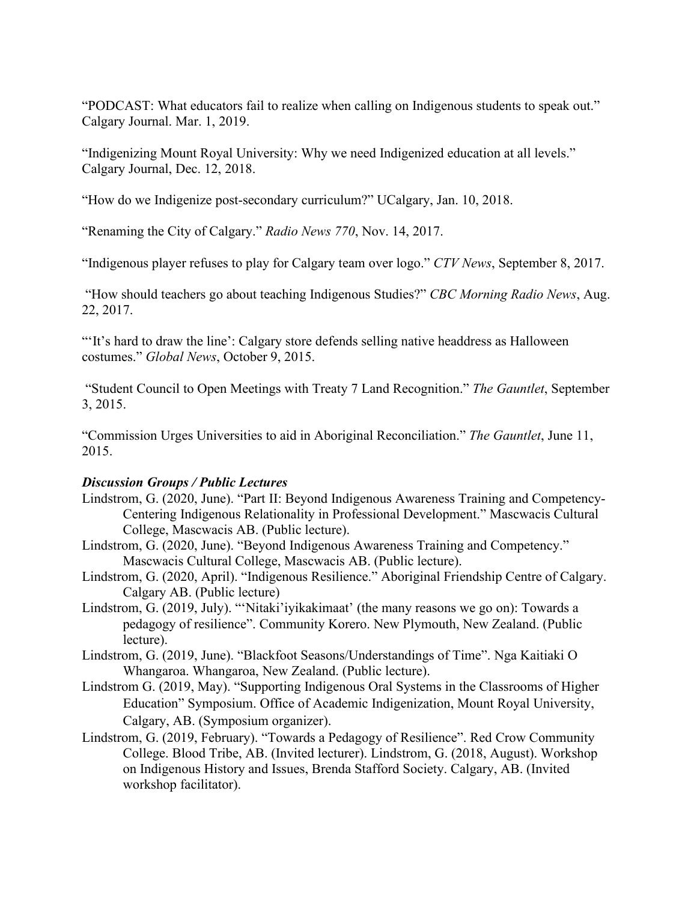"PODCAST: What educators fail to realize when calling on Indigenous students to speak out." Calgary Journal. Mar. 1, 2019.

"Indigenizing Mount Royal University: Why we need Indigenized education at all levels." Calgary Journal, Dec. 12, 2018.

"How do we Indigenize post-secondary curriculum?" UCalgary, Jan. 10, 2018.

"Renaming the City of Calgary." *Radio News 770*, Nov. 14, 2017.

"Indigenous player refuses to play for Calgary team over logo." *CTV News*, September 8, 2017.

"How should teachers go about teaching Indigenous Studies?" *CBC Morning Radio News*, Aug. 22, 2017.

"'It's hard to draw the line': Calgary store defends selling native headdress as Halloween costumes." *Global News*, October 9, 2015.

"Student Council to Open Meetings with Treaty 7 Land Recognition." *The Gauntlet*, September 3, 2015.

"Commission Urges Universities to aid in Aboriginal Reconciliation." *The Gauntlet*, June 11, 2015.

# *Discussion Groups / Public Lectures*

- Lindstrom, G. (2020, June). "Part II: Beyond Indigenous Awareness Training and Competency-Centering Indigenous Relationality in Professional Development." Mascwacis Cultural College, Mascwacis AB. (Public lecture).
- Lindstrom, G. (2020, June). "Beyond Indigenous Awareness Training and Competency." Mascwacis Cultural College, Mascwacis AB. (Public lecture).
- Lindstrom, G. (2020, April). "Indigenous Resilience." Aboriginal Friendship Centre of Calgary. Calgary AB. (Public lecture)
- Lindstrom, G. (2019, July). "'Nitaki'iyikakimaat' (the many reasons we go on): Towards a pedagogy of resilience". Community Korero. New Plymouth, New Zealand. (Public lecture).
- Lindstrom, G. (2019, June). "Blackfoot Seasons/Understandings of Time". Nga Kaitiaki O Whangaroa. Whangaroa, New Zealand. (Public lecture).
- Lindstrom G. (2019, May). "Supporting Indigenous Oral Systems in the Classrooms of Higher Education" Symposium. Office of Academic Indigenization, Mount Royal University, Calgary, AB. (Symposium organizer).
- Lindstrom, G. (2019, February). "Towards a Pedagogy of Resilience". Red Crow Community College. Blood Tribe, AB. (Invited lecturer). Lindstrom, G. (2018, August). Workshop on Indigenous History and Issues, Brenda Stafford Society. Calgary, AB. (Invited workshop facilitator).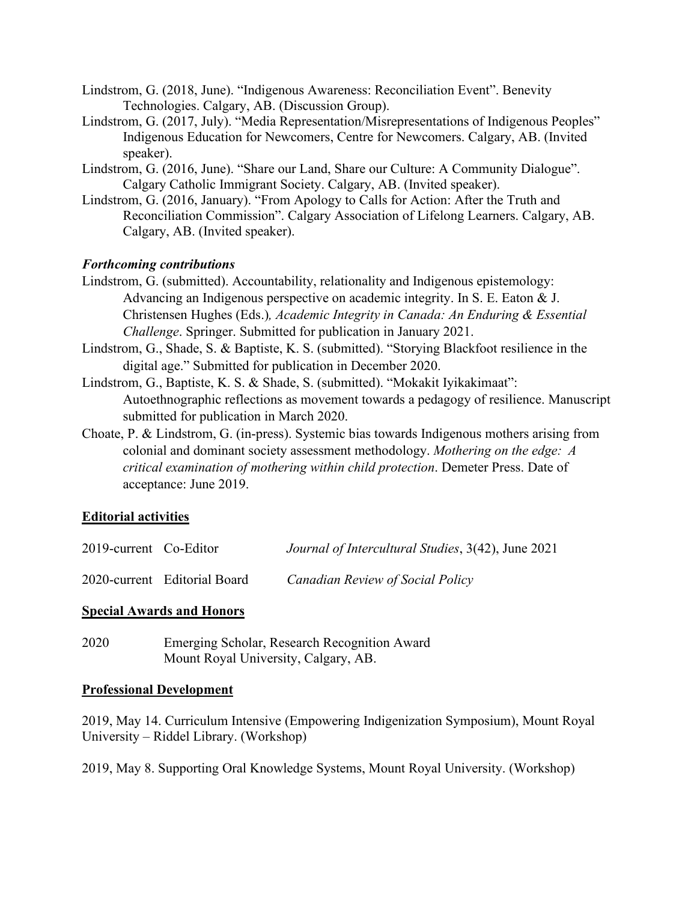- Lindstrom, G. (2018, June). "Indigenous Awareness: Reconciliation Event". Benevity Technologies. Calgary, AB. (Discussion Group).
- Lindstrom, G. (2017, July). "Media Representation/Misrepresentations of Indigenous Peoples" Indigenous Education for Newcomers, Centre for Newcomers. Calgary, AB. (Invited speaker).
- Lindstrom, G. (2016, June). "Share our Land, Share our Culture: A Community Dialogue". Calgary Catholic Immigrant Society. Calgary, AB. (Invited speaker).
- Lindstrom, G. (2016, January). "From Apology to Calls for Action: After the Truth and Reconciliation Commission". Calgary Association of Lifelong Learners. Calgary, AB. Calgary, AB. (Invited speaker).

# *Forthcoming contributions*

- Lindstrom, G. (submitted). Accountability, relationality and Indigenous epistemology: Advancing an Indigenous perspective on academic integrity. In S. E. Eaton & J. Christensen Hughes (Eds.)*, Academic Integrity in Canada: An Enduring & Essential Challenge*. Springer. Submitted for publication in January 2021.
- Lindstrom, G., Shade, S. & Baptiste, K. S. (submitted). "Storying Blackfoot resilience in the digital age." Submitted for publication in December 2020.
- Lindstrom, G., Baptiste, K. S. & Shade, S. (submitted). "Mokakit Iyikakimaat": Autoethnographic reflections as movement towards a pedagogy of resilience. Manuscript submitted for publication in March 2020.
- Choate, P. & Lindstrom, G. (in-press). Systemic bias towards Indigenous mothers arising from colonial and dominant society assessment methodology. *Mothering on the edge: A critical examination of mothering within child protection*. Demeter Press. Date of acceptance: June 2019.

# **Editorial activities**

| 2019-current Co-Editor | Journal of Intercultural Studies, 3(42), June 2021 |  |
|------------------------|----------------------------------------------------|--|
|                        |                                                    |  |

# 2020-current Editorial Board *Canadian Review of Social Policy*

#### **Special Awards and Honors**

2020 Emerging Scholar, Research Recognition Award Mount Royal University, Calgary, AB.

#### **Professional Development**

2019, May 14. Curriculum Intensive (Empowering Indigenization Symposium), Mount Royal University – Riddel Library. (Workshop)

2019, May 8. Supporting Oral Knowledge Systems, Mount Royal University. (Workshop)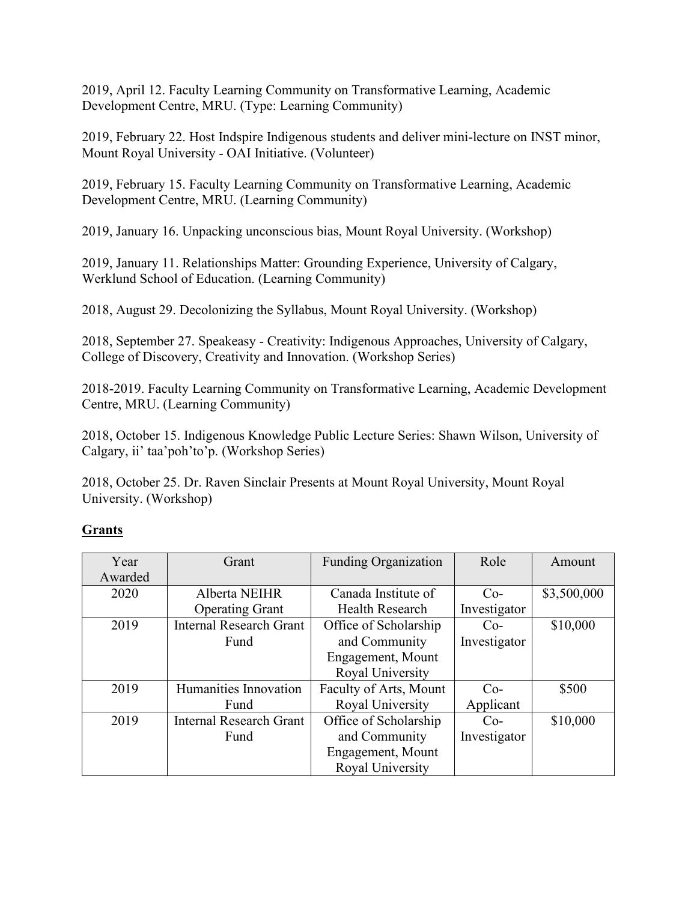2019, April 12. Faculty Learning Community on Transformative Learning, Academic Development Centre, MRU. (Type: Learning Community)

2019, February 22. Host Indspire Indigenous students and deliver mini-lecture on INST minor, Mount Royal University - OAI Initiative. (Volunteer)

2019, February 15. Faculty Learning Community on Transformative Learning, Academic Development Centre, MRU. (Learning Community)

2019, January 16. Unpacking unconscious bias, Mount Royal University. (Workshop)

2019, January 11. Relationships Matter: Grounding Experience, University of Calgary, Werklund School of Education. (Learning Community)

2018, August 29. Decolonizing the Syllabus, Mount Royal University. (Workshop)

2018, September 27. Speakeasy - Creativity: Indigenous Approaches, University of Calgary, College of Discovery, Creativity and Innovation. (Workshop Series)

2018-2019. Faculty Learning Community on Transformative Learning, Academic Development Centre, MRU. (Learning Community)

2018, October 15. Indigenous Knowledge Public Lecture Series: Shawn Wilson, University of Calgary, ii' taa'poh'to'p. (Workshop Series)

2018, October 25. Dr. Raven Sinclair Presents at Mount Royal University, Mount Royal University. (Workshop)

# **Grants**

| Year    | Grant                          | <b>Funding Organization</b> | Role         | Amount      |
|---------|--------------------------------|-----------------------------|--------------|-------------|
| Awarded |                                |                             |              |             |
| 2020    | Alberta NEIHR                  | Canada Institute of         | $Co-$        | \$3,500,000 |
|         | <b>Operating Grant</b>         | Health Research             | Investigator |             |
| 2019    | <b>Internal Research Grant</b> | Office of Scholarship       | $Co-$        | \$10,000    |
|         | Fund                           | and Community               | Investigator |             |
|         |                                | Engagement, Mount           |              |             |
|         |                                | Royal University            |              |             |
| 2019    | Humanities Innovation          | Faculty of Arts, Mount      | $Co-$        | \$500       |
|         | Fund                           | Royal University            | Applicant    |             |
| 2019    | <b>Internal Research Grant</b> | Office of Scholarship       | $Co-$        | \$10,000    |
|         | Fund                           | and Community               | Investigator |             |
|         |                                | Engagement, Mount           |              |             |
|         |                                | Royal University            |              |             |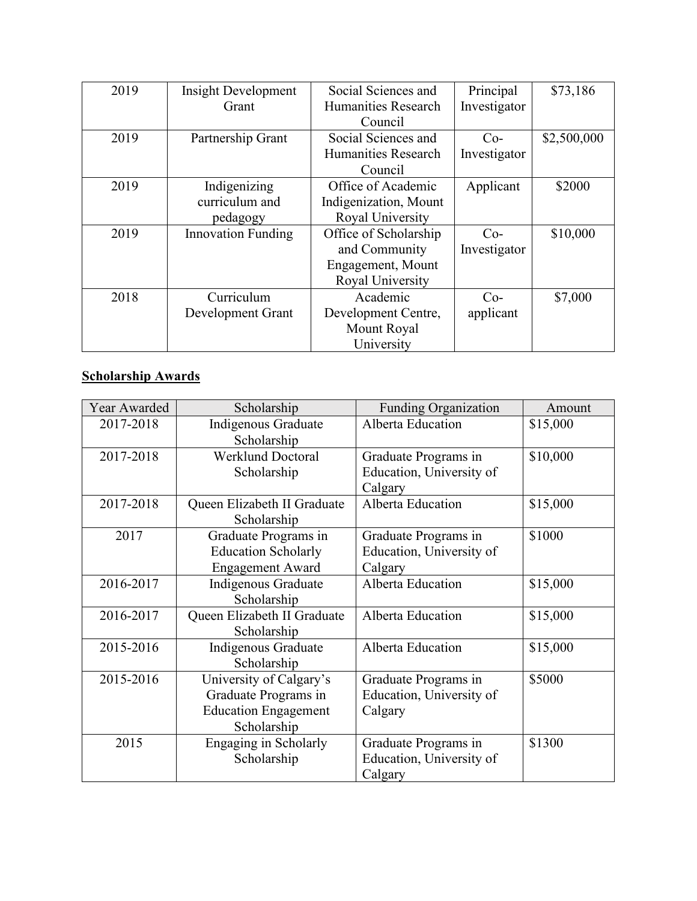| 2019 | <b>Insight Development</b> | Social Sciences and   | Principal    | \$73,186    |
|------|----------------------------|-----------------------|--------------|-------------|
|      | Grant                      | Humanities Research   | Investigator |             |
|      |                            | Council               |              |             |
| 2019 | Partnership Grant          | Social Sciences and   | $Co-$        | \$2,500,000 |
|      |                            | Humanities Research   | Investigator |             |
|      |                            | Council               |              |             |
| 2019 | Indigenizing               | Office of Academic    | Applicant    | \$2000      |
|      | curriculum and             | Indigenization, Mount |              |             |
|      | pedagogy                   | Royal University      |              |             |
| 2019 | <b>Innovation Funding</b>  | Office of Scholarship | $Co-$        | \$10,000    |
|      |                            | and Community         | Investigator |             |
|      |                            | Engagement, Mount     |              |             |
|      |                            | Royal University      |              |             |
| 2018 | Curriculum                 | Academic              | $Co-$        | \$7,000     |
|      | Development Grant          | Development Centre,   | applicant    |             |
|      |                            | Mount Royal           |              |             |
|      |                            | University            |              |             |

# **Scholarship Awards**

| Year Awarded | Scholarship                 | <b>Funding Organization</b> | Amount   |
|--------------|-----------------------------|-----------------------------|----------|
| 2017-2018    | Indigenous Graduate         | Alberta Education           | \$15,000 |
|              | Scholarship                 |                             |          |
| 2017-2018    | <b>Werklund Doctoral</b>    | Graduate Programs in        | \$10,000 |
|              | Scholarship                 | Education, University of    |          |
|              |                             | Calgary                     |          |
| 2017-2018    | Queen Elizabeth II Graduate | Alberta Education           | \$15,000 |
|              | Scholarship                 |                             |          |
| 2017         | Graduate Programs in        | Graduate Programs in        | \$1000   |
|              | <b>Education Scholarly</b>  | Education, University of    |          |
|              | <b>Engagement Award</b>     | Calgary                     |          |
| 2016-2017    | Indigenous Graduate         | Alberta Education           | \$15,000 |
|              | Scholarship                 |                             |          |
| 2016-2017    | Queen Elizabeth II Graduate | Alberta Education           | \$15,000 |
|              | Scholarship                 |                             |          |
| 2015-2016    | Indigenous Graduate         | Alberta Education           | \$15,000 |
|              | Scholarship                 |                             |          |
| 2015-2016    | University of Calgary's     | Graduate Programs in        | \$5000   |
|              | Graduate Programs in        | Education, University of    |          |
|              | <b>Education Engagement</b> | Calgary                     |          |
|              | Scholarship                 |                             |          |
| 2015         | Engaging in Scholarly       | Graduate Programs in        | \$1300   |
|              | Scholarship                 | Education, University of    |          |
|              |                             | Calgary                     |          |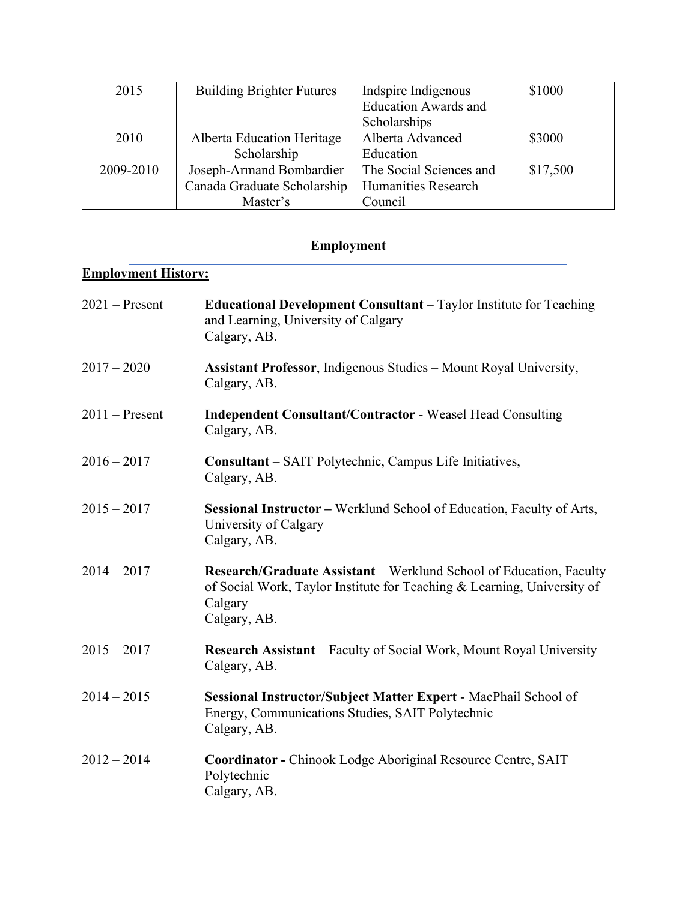| 2015      | <b>Building Brighter Futures</b> | Indepire Indigenous         | \$1000   |
|-----------|----------------------------------|-----------------------------|----------|
|           |                                  | <b>Education Awards and</b> |          |
|           |                                  | Scholarships                |          |
| 2010      | Alberta Education Heritage       | Alberta Advanced            | \$3000   |
|           | Scholarship                      | Education                   |          |
| 2009-2010 | Joseph-Armand Bombardier         | The Social Sciences and     | \$17,500 |
|           | Canada Graduate Scholarship      | Humanities Research         |          |
|           | Master's                         | Council                     |          |

# **Employment**

# **Employment History:**

| $2021 -$ Present | <b>Educational Development Consultant</b> – Taylor Institute for Teaching<br>and Learning, University of Calgary<br>Calgary, AB.                                          |
|------------------|---------------------------------------------------------------------------------------------------------------------------------------------------------------------------|
| $2017 - 2020$    | <b>Assistant Professor</b> , Indigenous Studies - Mount Royal University,<br>Calgary, AB.                                                                                 |
| $2011 -$ Present | <b>Independent Consultant/Contractor - Weasel Head Consulting</b><br>Calgary, AB.                                                                                         |
| $2016 - 2017$    | Consultant - SAIT Polytechnic, Campus Life Initiatives,<br>Calgary, AB.                                                                                                   |
| $2015 - 2017$    | Sessional Instructor – Werklund School of Education, Faculty of Arts,<br>University of Calgary<br>Calgary, AB.                                                            |
| $2014 - 2017$    | Research/Graduate Assistant - Werklund School of Education, Faculty<br>of Social Work, Taylor Institute for Teaching & Learning, University of<br>Calgary<br>Calgary, AB. |
| $2015 - 2017$    | <b>Research Assistant</b> – Faculty of Social Work, Mount Royal University<br>Calgary, AB.                                                                                |
| $2014 - 2015$    | Sessional Instructor/Subject Matter Expert - MacPhail School of<br>Energy, Communications Studies, SAIT Polytechnic<br>Calgary, AB.                                       |
| $2012 - 2014$    | Coordinator - Chinook Lodge Aboriginal Resource Centre, SAIT<br>Polytechnic<br>Calgary, AB.                                                                               |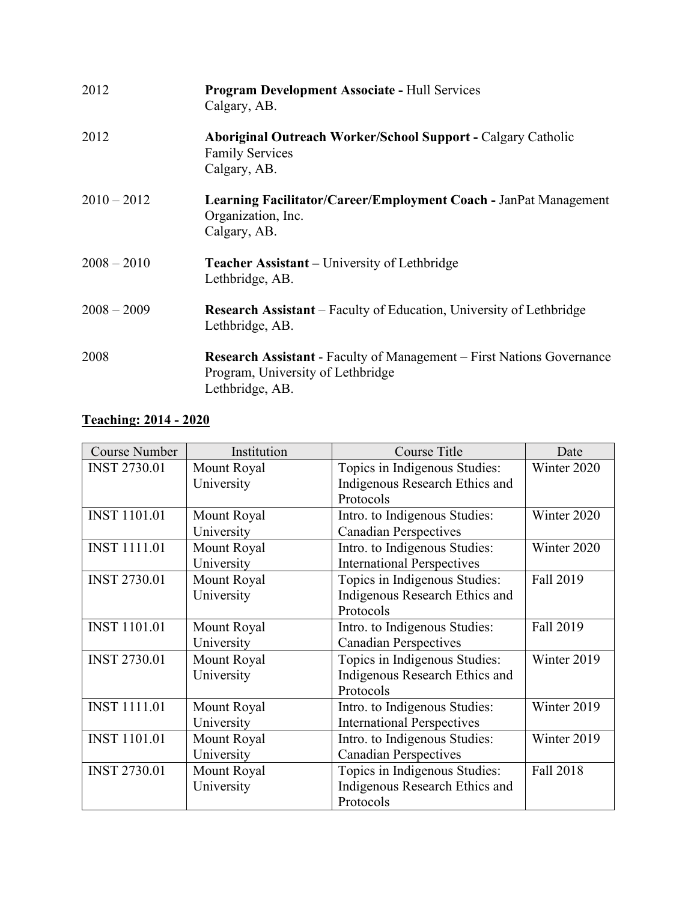| 2012          | <b>Program Development Associate - Hull Services</b><br>Calgary, AB.                                                                 |
|---------------|--------------------------------------------------------------------------------------------------------------------------------------|
| 2012          | <b>Aboriginal Outreach Worker/School Support - Calgary Catholic</b><br><b>Family Services</b><br>Calgary, AB.                        |
| $2010 - 2012$ | Learning Facilitator/Career/Employment Coach - JanPat Management<br>Organization, Inc.<br>Calgary, AB.                               |
| $2008 - 2010$ | Teacher Assistant - University of Lethbridge<br>Lethbridge, AB.                                                                      |
| $2008 - 2009$ | <b>Research Assistant</b> – Faculty of Education, University of Lethbridge<br>Lethbridge, AB.                                        |
| 2008          | <b>Research Assistant - Faculty of Management – First Nations Governance</b><br>Program, University of Lethbridge<br>Lethbridge, AB. |

# **Teaching: 2014 - 2020**

| <b>Course Number</b> | Institution | Course Title                      | Date        |
|----------------------|-------------|-----------------------------------|-------------|
| <b>INST 2730.01</b>  | Mount Royal | Topics in Indigenous Studies:     | Winter 2020 |
|                      | University  | Indigenous Research Ethics and    |             |
|                      |             | Protocols                         |             |
| <b>INST 1101.01</b>  | Mount Royal | Intro. to Indigenous Studies:     | Winter 2020 |
|                      | University  | <b>Canadian Perspectives</b>      |             |
| <b>INST 1111.01</b>  | Mount Royal | Intro. to Indigenous Studies:     | Winter 2020 |
|                      | University  | <b>International Perspectives</b> |             |
| <b>INST 2730.01</b>  | Mount Royal | Topics in Indigenous Studies:     | Fall 2019   |
|                      | University  | Indigenous Research Ethics and    |             |
|                      |             | Protocols                         |             |
| <b>INST 1101.01</b>  | Mount Royal | Intro. to Indigenous Studies:     | Fall 2019   |
|                      | University  | <b>Canadian Perspectives</b>      |             |
| <b>INST 2730.01</b>  | Mount Royal | Topics in Indigenous Studies:     | Winter 2019 |
|                      | University  | Indigenous Research Ethics and    |             |
|                      |             | Protocols                         |             |
| <b>INST 1111.01</b>  | Mount Royal | Intro. to Indigenous Studies:     | Winter 2019 |
|                      | University  | <b>International Perspectives</b> |             |
| <b>INST 1101.01</b>  | Mount Royal | Intro. to Indigenous Studies:     | Winter 2019 |
|                      | University  | <b>Canadian Perspectives</b>      |             |
| <b>INST 2730.01</b>  | Mount Royal | Topics in Indigenous Studies:     | Fall 2018   |
|                      | University  | Indigenous Research Ethics and    |             |
|                      |             | Protocols                         |             |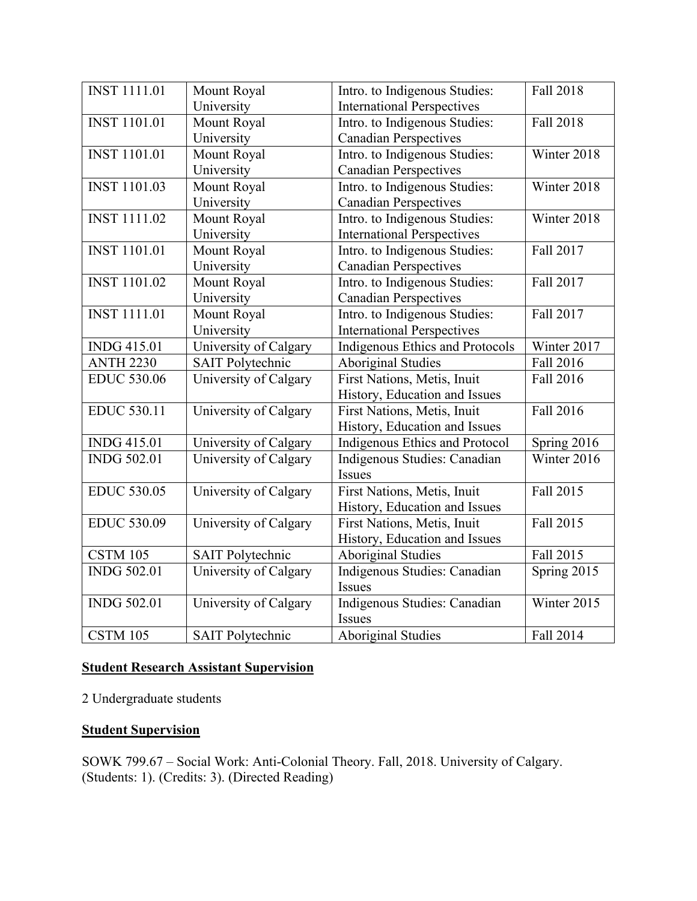| <b>INST 1111.01</b> | Mount Royal             | Intro. to Indigenous Studies:     | Fall 2018   |
|---------------------|-------------------------|-----------------------------------|-------------|
|                     | University              | <b>International Perspectives</b> |             |
| <b>INST 1101.01</b> | Mount Royal             | Intro. to Indigenous Studies:     | Fall 2018   |
|                     | University              | <b>Canadian Perspectives</b>      |             |
| <b>INST 1101.01</b> | Mount Royal             | Intro. to Indigenous Studies:     | Winter 2018 |
|                     | University              | <b>Canadian Perspectives</b>      |             |
| <b>INST 1101.03</b> | Mount Royal             | Intro. to Indigenous Studies:     | Winter 2018 |
|                     | University              | <b>Canadian Perspectives</b>      |             |
| <b>INST 1111.02</b> | Mount Royal             | Intro. to Indigenous Studies:     | Winter 2018 |
|                     | University              | <b>International Perspectives</b> |             |
| <b>INST 1101.01</b> | Mount Royal             | Intro. to Indigenous Studies:     | Fall 2017   |
|                     | University              | <b>Canadian Perspectives</b>      |             |
| <b>INST 1101.02</b> | Mount Royal             | Intro. to Indigenous Studies:     | Fall 2017   |
|                     | University              | <b>Canadian Perspectives</b>      |             |
| <b>INST 1111.01</b> | Mount Royal             | Intro. to Indigenous Studies:     | Fall 2017   |
|                     | University              | <b>International Perspectives</b> |             |
| <b>INDG 415.01</b>  | University of Calgary   | Indigenous Ethics and Protocols   | Winter 2017 |
| <b>ANTH 2230</b>    | <b>SAIT Polytechnic</b> | <b>Aboriginal Studies</b>         | Fall 2016   |
| <b>EDUC 530.06</b>  | University of Calgary   | First Nations, Metis, Inuit       | Fall 2016   |
|                     |                         | History, Education and Issues     |             |
| <b>EDUC 530.11</b>  | University of Calgary   | First Nations, Metis, Inuit       | Fall 2016   |
|                     |                         | History, Education and Issues     |             |
| <b>INDG 415.01</b>  | University of Calgary   | Indigenous Ethics and Protocol    | Spring 2016 |
| <b>INDG 502.01</b>  | University of Calgary   | Indigenous Studies: Canadian      | Winter 2016 |
|                     |                         | Issues                            |             |
| <b>EDUC 530.05</b>  | University of Calgary   | First Nations, Metis, Inuit       | Fall 2015   |
|                     |                         | History, Education and Issues     |             |
| <b>EDUC 530.09</b>  | University of Calgary   | First Nations, Metis, Inuit       | Fall 2015   |
|                     |                         | History, Education and Issues     |             |
| <b>CSTM 105</b>     | <b>SAIT Polytechnic</b> | <b>Aboriginal Studies</b>         | Fall 2015   |
| <b>INDG 502.01</b>  | University of Calgary   | Indigenous Studies: Canadian      | Spring 2015 |
|                     |                         | Issues                            |             |
| <b>INDG 502.01</b>  | University of Calgary   | Indigenous Studies: Canadian      | Winter 2015 |
|                     |                         | Issues                            |             |
| <b>CSTM 105</b>     | <b>SAIT Polytechnic</b> | <b>Aboriginal Studies</b>         | Fall 2014   |

# **Student Research Assistant Supervision**

2 Undergraduate students

# **Student Supervision**

SOWK 799.67 – Social Work: Anti-Colonial Theory. Fall, 2018. University of Calgary. (Students: 1). (Credits: 3). (Directed Reading)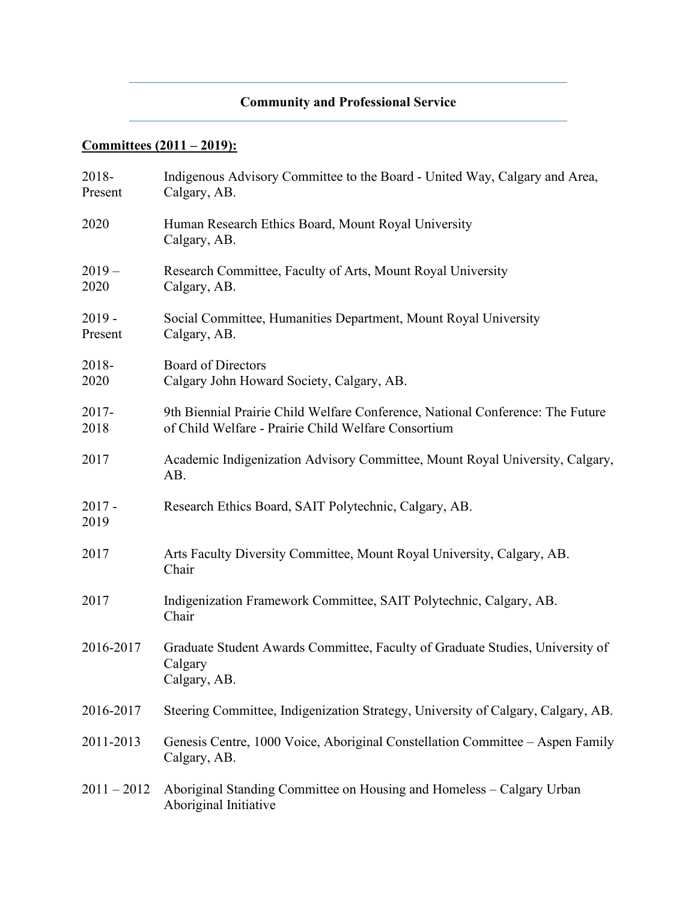# **Community and Professional Service**

# **Committees (2011 – 2019):**

| 2018-<br>Present    | Indigenous Advisory Committee to the Board - United Way, Calgary and Area,<br>Calgary, AB.                                            |
|---------------------|---------------------------------------------------------------------------------------------------------------------------------------|
| 2020                | Human Research Ethics Board, Mount Royal University<br>Calgary, AB.                                                                   |
| $2019-$<br>2020     | Research Committee, Faculty of Arts, Mount Royal University<br>Calgary, AB.                                                           |
| $2019 -$<br>Present | Social Committee, Humanities Department, Mount Royal University<br>Calgary, AB.                                                       |
| 2018-<br>2020       | <b>Board of Directors</b><br>Calgary John Howard Society, Calgary, AB.                                                                |
| $2017 -$<br>2018    | 9th Biennial Prairie Child Welfare Conference, National Conference: The Future<br>of Child Welfare - Prairie Child Welfare Consortium |
| 2017                | Academic Indigenization Advisory Committee, Mount Royal University, Calgary,<br>AB.                                                   |
| $2017 -$<br>2019    | Research Ethics Board, SAIT Polytechnic, Calgary, AB.                                                                                 |
| 2017                | Arts Faculty Diversity Committee, Mount Royal University, Calgary, AB.<br>Chair                                                       |
| 2017                | Indigenization Framework Committee, SAIT Polytechnic, Calgary, AB.<br>Chair                                                           |
| 2016-2017           | Graduate Student Awards Committee, Faculty of Graduate Studies, University of<br>Calgary<br>Calgary, AB.                              |
| 2016-2017           | Steering Committee, Indigenization Strategy, University of Calgary, Calgary, AB.                                                      |
| 2011-2013           | Genesis Centre, 1000 Voice, Aboriginal Constellation Committee – Aspen Family<br>Calgary, AB.                                         |
| $2011 - 2012$       | Aboriginal Standing Committee on Housing and Homeless – Calgary Urban<br>Aboriginal Initiative                                        |